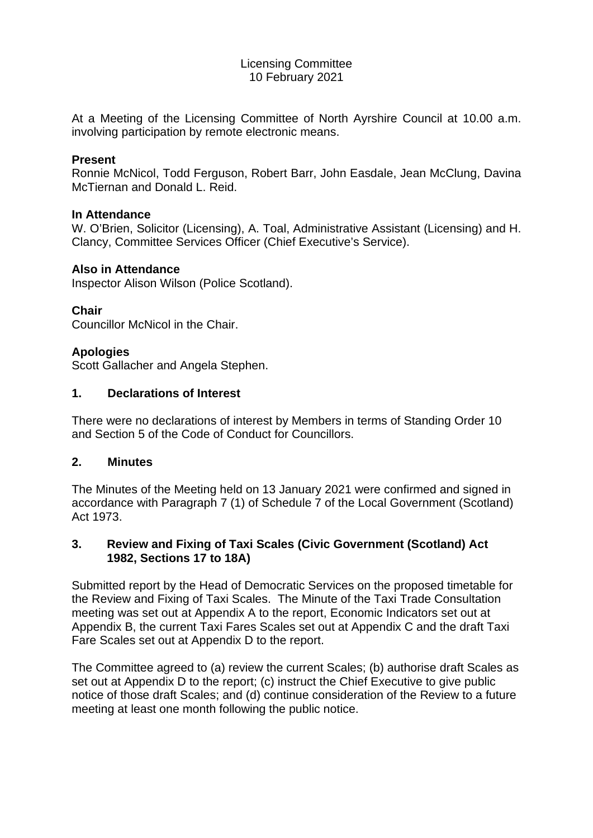#### Licensing Committee 10 February 2021

At a Meeting of the Licensing Committee of North Ayrshire Council at 10.00 a.m. involving participation by remote electronic means.

## **Present**

Ronnie McNicol, Todd Ferguson, Robert Barr, John Easdale, Jean McClung, Davina McTiernan and Donald L. Reid.

## **In Attendance**

W. O'Brien, Solicitor (Licensing), A. Toal, Administrative Assistant (Licensing) and H. Clancy, Committee Services Officer (Chief Executive's Service).

## **Also in Attendance**

Inspector Alison Wilson (Police Scotland).

# **Chair**

Councillor McNicol in the Chair.

# **Apologies**

Scott Gallacher and Angela Stephen.

## **1. Declarations of Interest**

There were no declarations of interest by Members in terms of Standing Order 10 and Section 5 of the Code of Conduct for Councillors.

#### **2. Minutes**

The Minutes of the Meeting held on 13 January 2021 were confirmed and signed in accordance with Paragraph 7 (1) of Schedule 7 of the Local Government (Scotland) Act 1973.

## **3. Review and Fixing of Taxi Scales (Civic Government (Scotland) Act 1982, Sections 17 to 18A)**

Submitted report by the Head of Democratic Services on the proposed timetable for the Review and Fixing of Taxi Scales. The Minute of the Taxi Trade Consultation meeting was set out at Appendix A to the report, Economic Indicators set out at Appendix B, the current Taxi Fares Scales set out at Appendix C and the draft Taxi Fare Scales set out at Appendix D to the report.

The Committee agreed to (a) review the current Scales; (b) authorise draft Scales as set out at Appendix D to the report; (c) instruct the Chief Executive to give public notice of those draft Scales; and (d) continue consideration of the Review to a future meeting at least one month following the public notice.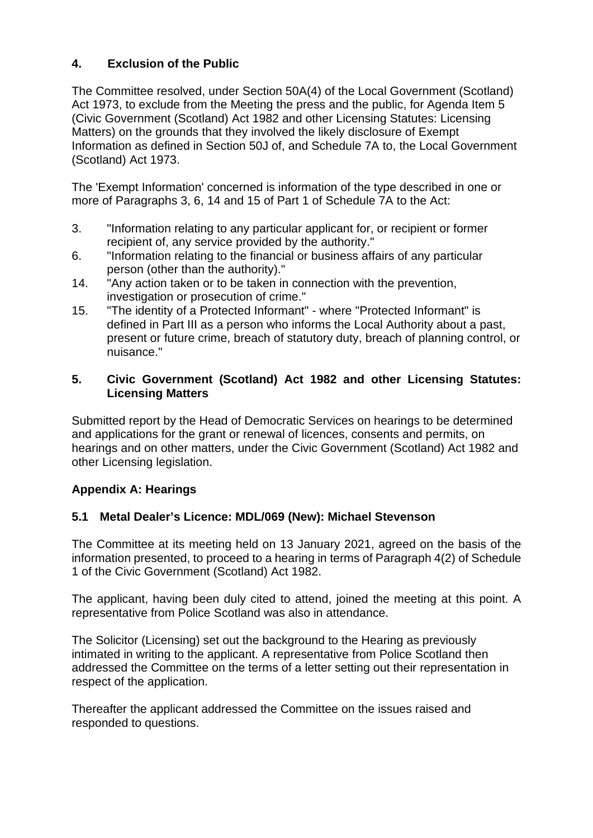# **4. Exclusion of the Public**

The Committee resolved, under Section 50A(4) of the Local Government (Scotland) Act 1973, to exclude from the Meeting the press and the public, for Agenda Item 5 (Civic Government (Scotland) Act 1982 and other Licensing Statutes: Licensing Matters) on the grounds that they involved the likely disclosure of Exempt Information as defined in Section 50J of, and Schedule 7A to, the Local Government (Scotland) Act 1973.

The 'Exempt Information' concerned is information of the type described in one or more of Paragraphs 3, 6, 14 and 15 of Part 1 of Schedule 7A to the Act:

- 3. "Information relating to any particular applicant for, or recipient or former recipient of, any service provided by the authority."
- 6. "Information relating to the financial or business affairs of any particular person (other than the authority)."
- 14. "Any action taken or to be taken in connection with the prevention, investigation or prosecution of crime."
- 15. "The identity of a Protected Informant" where "Protected Informant" is defined in Part III as a person who informs the Local Authority about a past, present or future crime, breach of statutory duty, breach of planning control, or nuisance."

## **5. Civic Government (Scotland) Act 1982 and other Licensing Statutes: Licensing Matters**

Submitted report by the Head of Democratic Services on hearings to be determined and applications for the grant or renewal of licences, consents and permits, on hearings and on other matters, under the Civic Government (Scotland) Act 1982 and other Licensing legislation.

# **Appendix A: Hearings**

# **5.1 Metal Dealer's Licence: MDL/069 (New): Michael Stevenson**

The Committee at its meeting held on 13 January 2021, agreed on the basis of the information presented, to proceed to a hearing in terms of Paragraph 4(2) of Schedule 1 of the Civic Government (Scotland) Act 1982.

The applicant, having been duly cited to attend, joined the meeting at this point. A representative from Police Scotland was also in attendance.

The Solicitor (Licensing) set out the background to the Hearing as previously intimated in writing to the applicant. A representative from Police Scotland then addressed the Committee on the terms of a letter setting out their representation in respect of the application.

Thereafter the applicant addressed the Committee on the issues raised and responded to questions.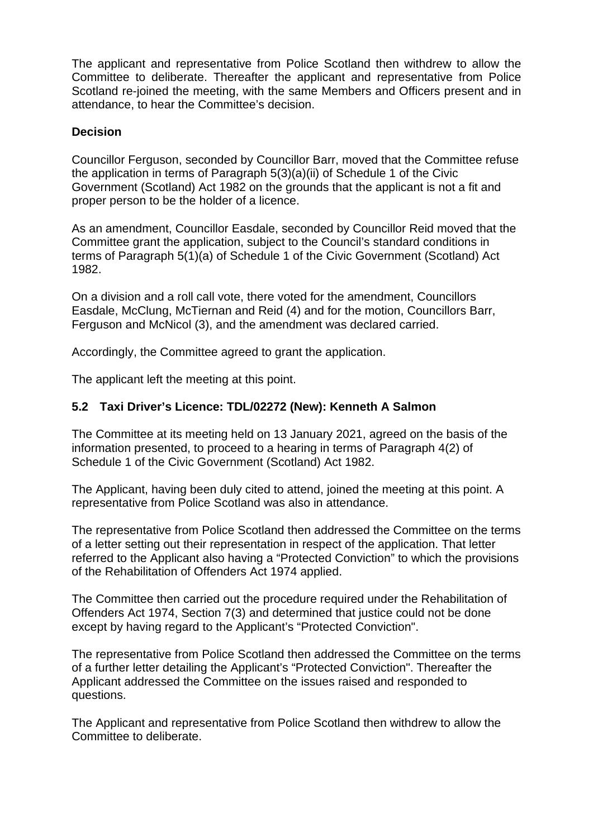The applicant and representative from Police Scotland then withdrew to allow the Committee to deliberate. Thereafter the applicant and representative from Police Scotland re-joined the meeting, with the same Members and Officers present and in attendance, to hear the Committee's decision.

## **Decision**

Councillor Ferguson, seconded by Councillor Barr, moved that the Committee refuse the application in terms of Paragraph 5(3)(a)(ii) of Schedule 1 of the Civic Government (Scotland) Act 1982 on the grounds that the applicant is not a fit and proper person to be the holder of a licence.

As an amendment, Councillor Easdale, seconded by Councillor Reid moved that the Committee grant the application, subject to the Council's standard conditions in terms of Paragraph 5(1)(a) of Schedule 1 of the Civic Government (Scotland) Act 1982.

On a division and a roll call vote, there voted for the amendment, Councillors Easdale, McClung, McTiernan and Reid (4) and for the motion, Councillors Barr, Ferguson and McNicol (3), and the amendment was declared carried.

Accordingly, the Committee agreed to grant the application.

The applicant left the meeting at this point.

## **5.2 Taxi Driver's Licence: TDL/02272 (New): Kenneth A Salmon**

The Committee at its meeting held on 13 January 2021, agreed on the basis of the information presented, to proceed to a hearing in terms of Paragraph 4(2) of Schedule 1 of the Civic Government (Scotland) Act 1982.

The Applicant, having been duly cited to attend, joined the meeting at this point. A representative from Police Scotland was also in attendance.

The representative from Police Scotland then addressed the Committee on the terms of a letter setting out their representation in respect of the application. That letter referred to the Applicant also having a "Protected Conviction" to which the provisions of the Rehabilitation of Offenders Act 1974 applied.

The Committee then carried out the procedure required under the Rehabilitation of Offenders Act 1974, Section 7(3) and determined that justice could not be done except by having regard to the Applicant's "Protected Conviction".

The representative from Police Scotland then addressed the Committee on the terms of a further letter detailing the Applicant's "Protected Conviction". Thereafter the Applicant addressed the Committee on the issues raised and responded to questions.

The Applicant and representative from Police Scotland then withdrew to allow the Committee to deliberate.